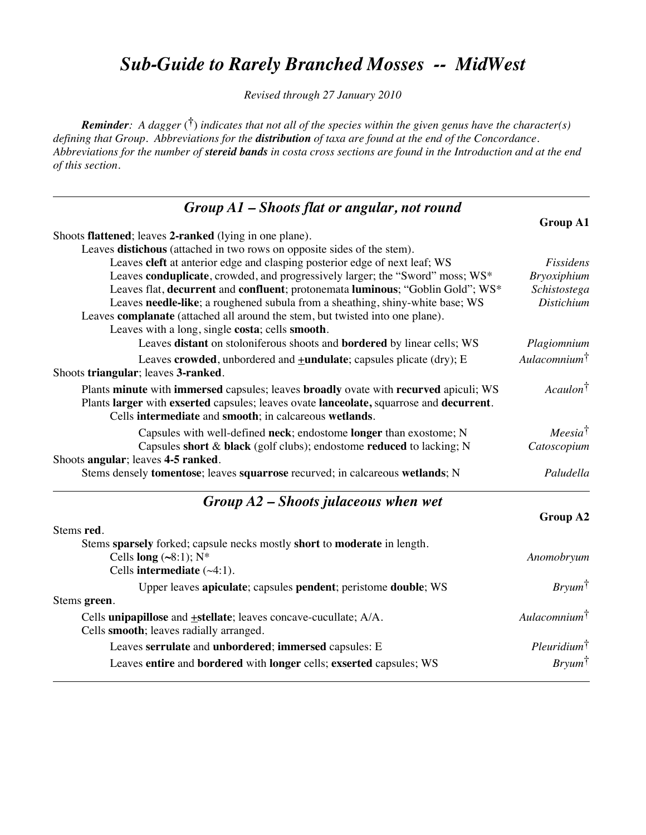#### *Sub-Guide to Rarely Branched Mosses -- MidWest*

*Revised through 27 January 2010*

*Reminder: A dagger* (**†**) *indicates that not all of the species within the given genus have the character(s) defining that Group. Abbreviations for the distribution of taxa are found at the end of the Concordance. Abbreviations for the number of stereid bands in costa cross sections are found in the Introduction and at the end of this section.*

| $Group A1 - shoots flat or angular, not round$                                                                                                                                                                                            |                          |
|-------------------------------------------------------------------------------------------------------------------------------------------------------------------------------------------------------------------------------------------|--------------------------|
|                                                                                                                                                                                                                                           | <b>Group A1</b>          |
| Shoots flattened; leaves 2-ranked (lying in one plane).                                                                                                                                                                                   |                          |
| Leaves distichous (attached in two rows on opposite sides of the stem).                                                                                                                                                                   |                          |
| Leaves cleft at anterior edge and clasping posterior edge of next leaf; WS                                                                                                                                                                | Fissidens                |
| Leaves conduplicate, crowded, and progressively larger; the "Sword" moss; WS*                                                                                                                                                             | <b>Bryoxiphium</b>       |
| Leaves flat, decurrent and confluent; protonemata luminous; "Goblin Gold"; WS*                                                                                                                                                            | Schistostega             |
| Leaves needle-like; a roughened subula from a sheathing, shiny-white base; WS                                                                                                                                                             | <b>Distichium</b>        |
| Leaves complanate (attached all around the stem, but twisted into one plane).                                                                                                                                                             |                          |
| Leaves with a long, single costa; cells smooth.                                                                                                                                                                                           |                          |
| Leaves distant on stoloniferous shoots and bordered by linear cells; WS                                                                                                                                                                   | Plagiomnium              |
| Leaves crowded, unbordered and $\pm$ undulate; capsules plicate (dry); E<br>Shoots triangular; leaves 3-ranked.                                                                                                                           | Aulacomnium $^{\dagger}$ |
| Plants minute with immersed capsules; leaves broadly ovate with recurved apiculi; WS<br>Plants larger with exserted capsules; leaves ovate lanceolate, squarrose and decurrent.<br>Cells intermediate and smooth; in calcareous wetlands. | Acaulon <sup>†</sup>     |
| Capsules with well-defined neck; endostome longer than exostome; N                                                                                                                                                                        | $Meesia^{\dagger}$       |
| Capsules short & black (golf clubs); endostome reduced to lacking; N                                                                                                                                                                      | Catoscopium              |
| Shoots angular; leaves 4-5 ranked.                                                                                                                                                                                                        |                          |
| Stems densely tomentose; leaves squarrose recurved; in calcareous wetlands; N                                                                                                                                                             | Paludella                |
| $Group A2 - shoots$ julaceous when wet                                                                                                                                                                                                    |                          |
|                                                                                                                                                                                                                                           | Group A2                 |
| Stems red.                                                                                                                                                                                                                                |                          |
| Stems sparsely forked; capsule necks mostly short to moderate in length.<br>Cells long $(\sim 8:1)$ ; N*                                                                                                                                  | Anomobryum               |
| Cells intermediate $(\sim4:1)$ .                                                                                                                                                                                                          |                          |
|                                                                                                                                                                                                                                           | $Bry \mu m^{\dagger}$    |
| Upper leaves apiculate; capsules pendent; peristome double; WS<br>Stems green.                                                                                                                                                            |                          |
|                                                                                                                                                                                                                                           | Aulacomnium <sup>†</sup> |
| Cells unipapillose and $\pm$ stellate; leaves concave-cucullate; $A/A$ .<br>Cells smooth; leaves radially arranged.                                                                                                                       |                          |
| Leaves serrulate and unbordered; immersed capsules: E                                                                                                                                                                                     | $Pleuridium^{\dagger}$   |
| Leaves entire and bordered with longer cells; exserted capsules; WS                                                                                                                                                                       | $Bry \mu m^{\dagger}$    |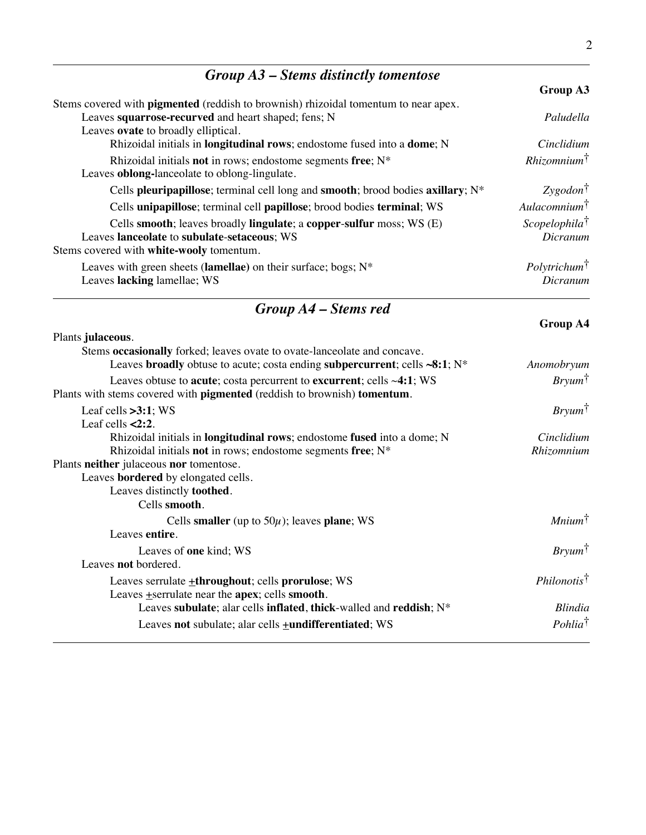## *Group A3 – Stems distinctly tomentose*

|                                                                                            | Group A3                  |
|--------------------------------------------------------------------------------------------|---------------------------|
| Stems covered with <b>pigmented</b> (reddish to brownish) rhizoidal tomentum to near apex. |                           |
| Leaves squarrose-recurved and heart shaped; fens; N                                        | Paludella                 |
| Leaves ovate to broadly elliptical.                                                        |                           |
| Rhizoidal initials in longitudinal rows; endostome fused into a dome; N                    | Cinclidium                |
| Rhizoidal initials not in rows; endostome segments free; $N^*$                             | $Rhizomnim^{\dagger}$     |
| Leaves <b>oblong-lanceolate</b> to oblong-lingulate.                                       |                           |
| Cells pleuripapillose; terminal cell long and smooth; brood bodies axillary; $N^*$         | $Zygodon^{\dagger}$       |
| Cells unipapillose; terminal cell papillose; brood bodies terminal; WS                     | Aulacomnium <sup>†</sup>  |
| Cells smooth; leaves broadly lingulate; a copper-sulfur moss; WS (E)                       | $Scopelophila^{\dagger}$  |
| Leaves lanceolate to subulate-setaceous; WS                                                | Dicranum                  |
| Stems covered with white-wooly tomentum.                                                   |                           |
| Leaves with green sheets (lamellae) on their surface; bogs; $N^*$                          | Poly trichum <sup>†</sup> |
| Leaves lacking lamellae; WS                                                                | Dicranum                  |

### *Group A4 – Stems red*

| Plants julaceous.                                                                                                                                       |                        |
|---------------------------------------------------------------------------------------------------------------------------------------------------------|------------------------|
| Stems occasionally forked; leaves ovate to ovate-lanceolate and concave.                                                                                |                        |
| Leaves broadly obtuse to acute; costa ending subpercurrent; cells $\sim 8:1; N^*$                                                                       | Anomobryum             |
| Leaves obtuse to acute; costa percurrent to excurrent; cells $\sim$ 4:1; WS<br>Plants with stems covered with pigmented (reddish to brownish) tomentum. | $Bry \mu m^{\dagger}$  |
|                                                                                                                                                         |                        |
| Leaf cells $>3:1$ ; WS                                                                                                                                  | $Bry \mu m^{\dagger}$  |
| Leaf cells $\leq$ 2:2.                                                                                                                                  |                        |
| Rhizoidal initials in <b>longitudinal rows</b> ; endostome fused into a dome; N                                                                         | Cinclidium             |
| Rhizoidal initials not in rows; endostome segments free; N*                                                                                             | Rhizomnium             |
| Plants neither julaceous nor tomentose.                                                                                                                 |                        |
| Leaves bordered by elongated cells.                                                                                                                     |                        |
| Leaves distinctly <b>toothed</b> .                                                                                                                      |                        |
| Cells smooth.                                                                                                                                           |                        |
| Cells smaller (up to $50\mu$ ); leaves plane; WS                                                                                                        | Minimum <sup>†</sup>   |
| Leaves entire.                                                                                                                                          |                        |
| Leaves of one kind; WS                                                                                                                                  | $Bryum^{\dagger}$      |
| Leaves not bordered.                                                                                                                                    |                        |
| Leaves serrulate <b>+throughout</b> ; cells prorulose; WS                                                                                               | $Philonotis^{\dagger}$ |
| Leaves $\pm$ serrulate near the apex; cells smooth.                                                                                                     |                        |
| Leaves subulate; alar cells inflated, thick-walled and reddish; N*                                                                                      | <b>Blindia</b>         |
| Leaves not subulate; alar cells <b>+undifferentiated</b> ; WS                                                                                           | $Pohlia^{\dagger}$     |

#### **Group A4**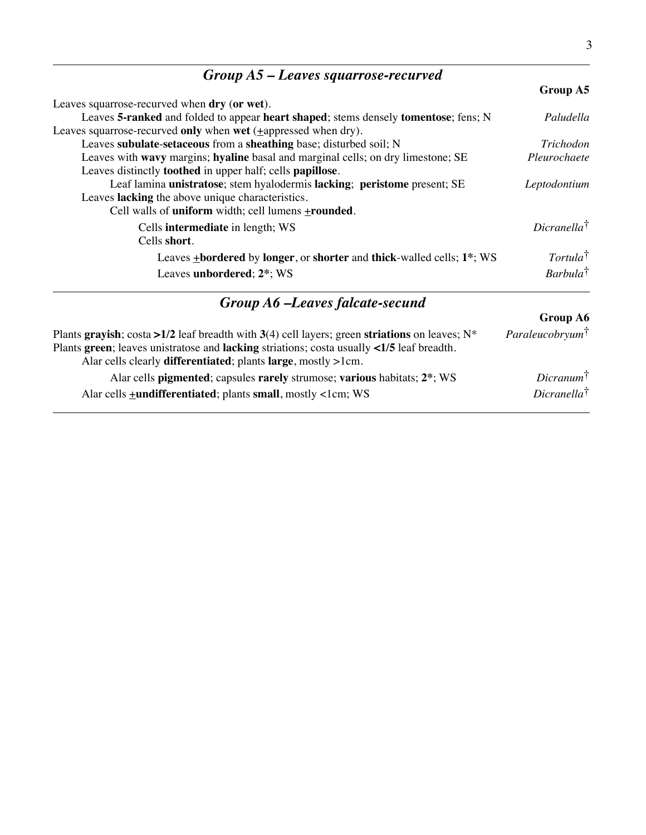| $Group A5 - Leaves square, required$                                                |                        |
|-------------------------------------------------------------------------------------|------------------------|
|                                                                                     | Group A5               |
| Leaves squarrose-recurved when dry (or wet).                                        |                        |
| Leaves 5-ranked and folded to appear heart shaped; stems densely tomentose; fens; N | Paludella              |
| Leaves squarrose-recurved only when wet ( <i>i</i> appressed when dry).             |                        |
| Leaves subulate-setaceous from a sheathing base; disturbed soil; N                  | Trichodon              |
| Leaves with wavy margins; hyaline basal and marginal cells; on dry limestone; SE    | Pleurochaete           |
| Leaves distinctly <b>toothed</b> in upper half; cells <b>papillose</b> .            |                        |
| Leaf lamina unistratose; stem hyalodermis lacking; peristome present; SE            | Leptodontium           |
| Leaves lacking the above unique characteristics.                                    |                        |
| Cell walls of uniform width; cell lumens +rounded.                                  |                        |
| Cells <b>intermediate</b> in length; WS                                             | $Dicranella^{\dagger}$ |
| Cells short.                                                                        |                        |
| Leaves +bordered by longer, or shorter and thick-walled cells; 1 <sup>*</sup> ; WS  | $Tortula^{\dagger}$    |
| Leaves unbordered; 2*; WS                                                           | $Barbula^{\dagger}$    |
| Group A6 -Leaves falcate-secund                                                     |                        |

|                                                                                                                                                                            | <b>Group A6</b>                    |
|----------------------------------------------------------------------------------------------------------------------------------------------------------------------------|------------------------------------|
| Plants grayish; costa >1/2 leaf breadth with 3(4) cell layers; green striations on leaves; $N^*$                                                                           | <i>Paraleucobryum</i> <sup>†</sup> |
| Plants green; leaves unistratose and lacking striations; costa usually <1/5 leaf breadth.<br>Alar cells clearly <b>differentiated</b> ; plants <b>large</b> , mostly >1cm. |                                    |
| Alar cells pigmented; capsules rarely strumose; various habitats; 2 <sup>*</sup> ; WS                                                                                      | $Dicramum^{\dagger}$               |
| Alar cells + <b>undifferentiated</b> ; plants small, mostly <1cm; WS                                                                                                       | $Dicranella^{\dagger}$             |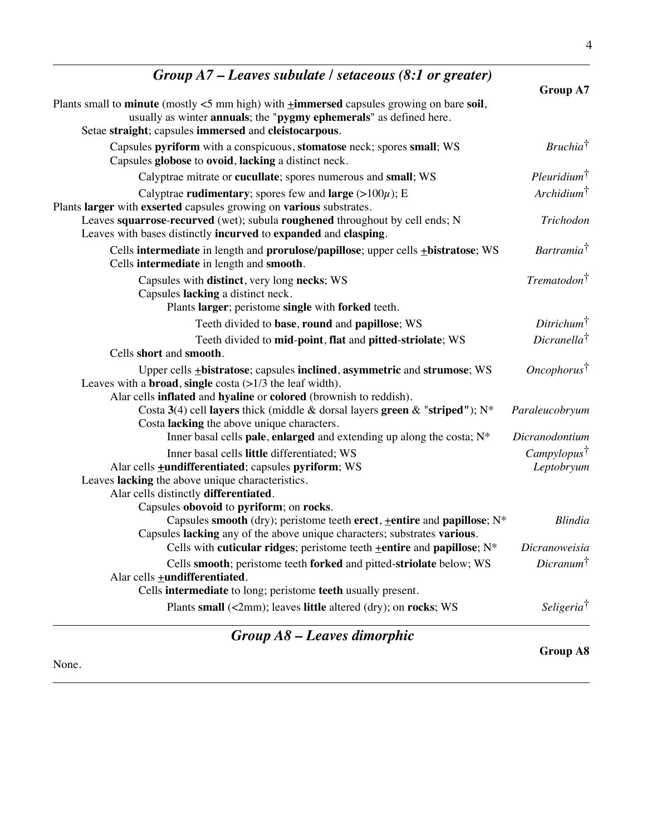| Group $A7$ – Leaves subulate / setaceous (8:1 or greater)                                                                                                                                                                                                                                                                           | Group A7                                 |
|-------------------------------------------------------------------------------------------------------------------------------------------------------------------------------------------------------------------------------------------------------------------------------------------------------------------------------------|------------------------------------------|
| Plants small to minute (mostly $<$ 5 mm high) with $\pm$ immersed capsules growing on bare soil,<br>usually as winter annuals; the "pygmy ephemerals" as defined here.<br>Setae straight; capsules immersed and cleistocarpous.                                                                                                     |                                          |
| Capsules pyriform with a conspicuous, stomatose neck; spores small; WS<br>Capsules globose to ovoid, lacking a distinct neck.                                                                                                                                                                                                       | $Bruchia^{\dagger}$                      |
| Calyptrae mitrate or cucullate; spores numerous and small; WS                                                                                                                                                                                                                                                                       | $Pleuridium^{\dagger}$                   |
| Calyptrae rudimentary; spores few and large $(>100\mu)$ ; E<br>Plants larger with exserted capsules growing on various substrates.<br>Leaves squarrose-recurved (wet); subula roughened throughout by cell ends; N<br>Leaves with bases distinctly incurved to expanded and clasping.                                               | $Archidium^{\dagger}$<br>Trichodon       |
| Cells intermediate in length and prorulose/papillose; upper cells +bistratose; WS<br>Cells intermediate in length and smooth.                                                                                                                                                                                                       | Bartramia <sup>†</sup>                   |
| Capsules with distinct, very long necks; WS<br>Capsules lacking a distinct neck.<br>Plants larger; peristome single with forked teeth.                                                                                                                                                                                              | $Trematodon^{\dagger}$                   |
| Teeth divided to base, round and papillose; WS                                                                                                                                                                                                                                                                                      | $Ditrichum^{\dagger}$                    |
| Teeth divided to mid-point, flat and pitted-striolate; WS<br>Cells short and smooth.                                                                                                                                                                                                                                                | $Dicranella^{\dagger}$                   |
| Upper cells <b>+bistratose</b> ; capsules <b>inclined</b> , <b>asymmetric</b> and <b>strumose</b> ; WS<br>Leaves with a <b>broad</b> , single costa $(>1/3$ the leaf width).<br>Alar cells inflated and hyaline or colored (brownish to reddish).<br>Costa 3(4) cell layers thick (middle & dorsal layers green & "striped"); $N^*$ | $Oneophorus^{\dagger}$<br>Paraleucobryum |
| Costa lacking the above unique characters.                                                                                                                                                                                                                                                                                          |                                          |
| Inner basal cells pale, enlarged and extending up along the costa; $N^*$                                                                                                                                                                                                                                                            | Dicranodontium                           |
| Inner basal cells little differentiated; WS<br>Alar cells <b>+undifferentiated</b> ; capsules pyriform; WS<br>Leaves lacking the above unique characteristics.<br>Alar cells distinctly differentiated.                                                                                                                             | Camply lopus<br>Leptobryum               |
| Capsules obovoid to pyriform; on rocks.<br>Capsules smooth (dry); peristome teeth erect, +entire and papillose; N*<br>Capsules lacking any of the above unique characters; substrates various.                                                                                                                                      | Blindia                                  |
| Cells with cuticular ridges; peristome teeth $\pm$ entire and papillose; N <sup>*</sup>                                                                                                                                                                                                                                             | Dicranoweisia                            |
| Cells smooth; peristome teeth forked and pitted-striolate below; WS<br>Alar cells +undifferentiated.                                                                                                                                                                                                                                | $Dicranum^{\dagger}$                     |
| Cells intermediate to long; peristome teeth usually present.                                                                                                                                                                                                                                                                        |                                          |
| Plants small (<2mm); leaves little altered (dry); on rocks; WS                                                                                                                                                                                                                                                                      | <i>Seligeria</i> <sup>†</sup>            |
| $Group\,A8-Leaves\,dimorphic$                                                                                                                                                                                                                                                                                                       |                                          |

None.

**Group A8**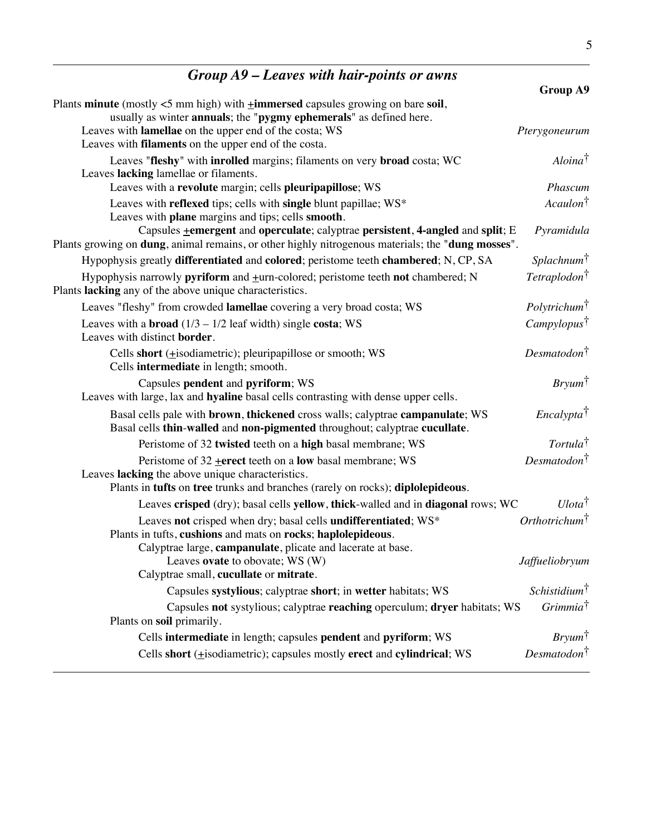## *Group A9 – Leaves with hair-points or awns*

|                                                                                                                       | Group A9                        |
|-----------------------------------------------------------------------------------------------------------------------|---------------------------------|
| Plants minute (mostly $<$ 5 mm high) with $\pm$ immersed capsules growing on bare soil,                               |                                 |
| usually as winter annuals; the "pygmy ephemerals" as defined here.                                                    |                                 |
| Leaves with lamellae on the upper end of the costa; WS<br>Leaves with <b>filaments</b> on the upper end of the costa. | Pterygoneurum                   |
|                                                                                                                       | $Aloina^{\dagger}$              |
| Leaves "fleshy" with inrolled margins; filaments on very broad costa; WC<br>Leaves lacking lamellae or filaments.     |                                 |
| Leaves with a revolute margin; cells pleuripapillose; WS                                                              | Phascum                         |
| Leaves with reflexed tips; cells with single blunt papillae; WS*                                                      | Acaulon <sup>†</sup>            |
| Leaves with plane margins and tips; cells smooth.                                                                     |                                 |
| Capsules <b>+</b> emergent and operculate; calyptrae persistent, 4-angled and split; E                                | Pyramidula                      |
| Plants growing on <b>dung</b> , animal remains, or other highly nitrogenous materials; the " <b>dung mosses</b> ".    |                                 |
| Hypophysis greatly differentiated and colored; peristome teeth chambered; N, CP, SA                                   | Splachnum <sup>†</sup>          |
| Hypophysis narrowly pyriform and +urn-colored; peristome teeth not chambered; N                                       | Tetraplodon <sup>†</sup>        |
| Plants lacking any of the above unique characteristics.                                                               |                                 |
| Leaves "fleshy" from crowded lamellae covering a very broad costa; WS                                                 | <i>Polytrichum</i> <sup>†</sup> |
| Leaves with a <b>broad</b> $(1/3 - 1/2 \text{ leaf width})$ single costa; WS                                          | Campylopus <sup>†</sup>         |
| Leaves with distinct border.                                                                                          |                                 |
| Cells short (+isodiametric); pleuripapillose or smooth; WS                                                            | $Desmatodon^{\dagger}$          |
| Cells intermediate in length; smooth.                                                                                 |                                 |
| Capsules pendent and pyriform; WS                                                                                     | $Bryum^{\dagger}$               |
| Leaves with large, lax and hyaline basal cells contrasting with dense upper cells.                                    |                                 |
| Basal cells pale with brown, thickened cross walls; calyptrae campanulate; WS                                         | $Encalypta^{\dagger}$           |
| Basal cells thin-walled and non-pigmented throughout; calyptrae cucullate.                                            |                                 |
| Peristome of 32 twisted teeth on a high basal membrane; WS                                                            | $Tortula^{\dagger}$             |
| Peristome of $32$ + erect teeth on a low basal membrane; WS                                                           | Desmatodon <sup>†</sup>         |
| Leaves lacking the above unique characteristics.                                                                      |                                 |
| Plants in tufts on tree trunks and branches (rarely on rocks); diplolepideous.                                        |                                 |
| Leaves crisped (dry); basal cells yellow, thick-walled and in diagonal rows; WC                                       | $U lota^{\dagger}$              |
| Leaves not crisped when dry; basal cells undifferentiated; WS*                                                        | Orthotrichum <sup>†</sup>       |
| Plants in tufts, cushions and mats on rocks; haplolepideous.                                                          |                                 |
| Calyptrae large, campanulate, plicate and lacerate at base.<br>Leaves ovate to obovate; WS (W)                        | Jaffueliobryum                  |
| Calyptrae small, cucullate or mitrate.                                                                                |                                 |
| Capsules systylious; calyptrae short; in wetter habitats; WS                                                          | Schistidium <sup>†</sup>        |
| Capsules not systylious; calyptrae reaching operculum; dryer habitats; WS                                             | Grimmia <sup>†</sup>            |
| Plants on soil primarily.                                                                                             |                                 |
| Cells intermediate in length; capsules pendent and pyriform; WS                                                       | $Bryum^{\dagger}$               |
| Cells short ( $\pm$ isodiametric); capsules mostly erect and cylindrical; WS                                          | Desmatodon <sup>†</sup>         |
|                                                                                                                       |                                 |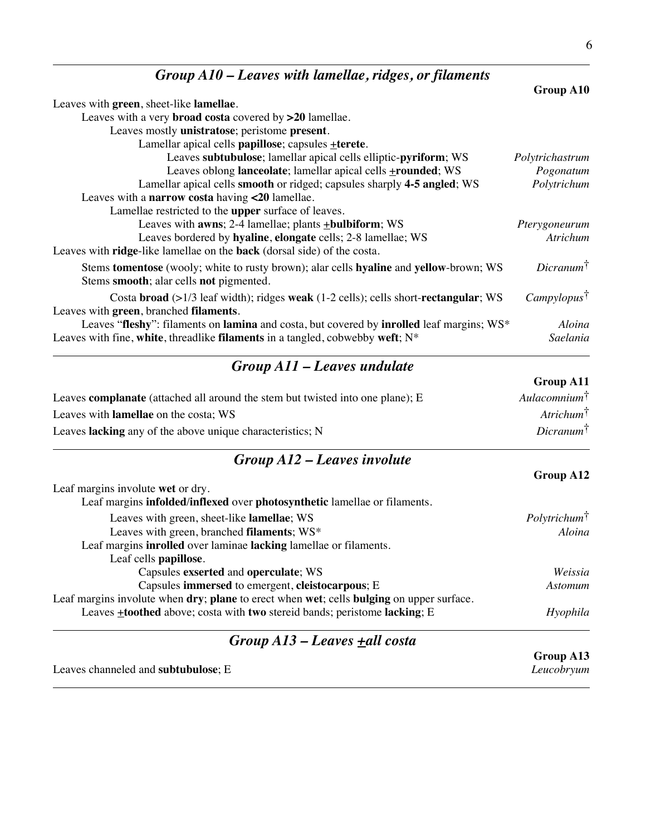| $Group A10$ – Leaves with lamellae, ridges, or filaments                                                                                                                      |                            |
|-------------------------------------------------------------------------------------------------------------------------------------------------------------------------------|----------------------------|
|                                                                                                                                                                               | Group A10                  |
| Leaves with green, sheet-like lamellae.                                                                                                                                       |                            |
| Leaves with a very <b>broad costa</b> covered by >20 lamellae.                                                                                                                |                            |
| Leaves mostly unistratose; peristome present.                                                                                                                                 |                            |
| Lamellar apical cells papillose; capsules +terete.                                                                                                                            |                            |
| Leaves subtubulose; lamellar apical cells elliptic-pyriform; WS                                                                                                               | Polytrichastrum            |
| Leaves oblong lanceolate; lamellar apical cells <b>+rounded</b> ; WS                                                                                                          | Pogonatum                  |
| Lamellar apical cells smooth or ridged; capsules sharply 4-5 angled; WS                                                                                                       | Polytrichum                |
| Leaves with a narrow costa having $\langle 20 \text{ lamellae.} \rangle$                                                                                                      |                            |
| Lamellae restricted to the upper surface of leaves.                                                                                                                           |                            |
| Leaves with <b>awns</b> ; $2-4$ lamellae; plants $\pm$ <b>bulbiform</b> ; WS                                                                                                  | Pterygoneurum              |
| Leaves bordered by hyaline, elongate cells; 2-8 lamellae; WS                                                                                                                  | Atrichum                   |
| Leaves with <b>ridge</b> -like lamellae on the <b>back</b> (dorsal side) of the costa.                                                                                        |                            |
| Stems tomentose (wooly; white to rusty brown); alar cells hyaline and yellow-brown; WS<br>Stems smooth; alar cells not pigmented.                                             | $Dicramum^{\dagger}$       |
| Costa broad $(>1/3$ leaf width); ridges weak $(1-2$ cells); cells short-rectangular; WS<br>Leaves with green, branched filaments.                                             | $Camplylopus$ <sup>†</sup> |
| Leaves "fleshy": filaments on lamina and costa, but covered by involled leaf margins; WS*<br>Leaves with fine, white, threadlike filaments in a tangled, cobwebby weft; $N^*$ | Aloina<br>Saelania         |
|                                                                                                                                                                               |                            |

#### *Group A11 – Leaves undulate*

|                                                                                | <b>Group A11</b>         |
|--------------------------------------------------------------------------------|--------------------------|
| Leaves complanate (attached all around the stem but twisted into one plane); E | Aulacomnium <sup>†</sup> |
| Leaves with <b>lamellae</b> on the costa; WS                                   | $Artichum^{\dagger}$     |
| Leaves lacking any of the above unique characteristics; N                      | $Dicranum^{\dagger}$     |

#### *Group A12 – Leaves involute*

|                                                                                          | Group A12                 |
|------------------------------------------------------------------------------------------|---------------------------|
| Leaf margins involute wet or dry.                                                        |                           |
| Leaf margins infolded/inflexed over photosynthetic lamellae or filaments.                |                           |
| Leaves with green, sheet-like lamellae; WS                                               | Poly trichum <sup>†</sup> |
| Leaves with green, branched filaments; WS*                                               | Aloina                    |
| Leaf margins <b>inrolled</b> over laminae <b>lacking</b> lamellae or filaments.          |                           |
| Leaf cells papillose.                                                                    |                           |
| Capsules exserted and operculate; WS                                                     | Weissia                   |
| Capsules immersed to emergent, cleistocarpous; E                                         | Astomum                   |
| Leaf margins involute when dry; plane to erect when wet; cells bulging on upper surface. |                           |
| Leaves $\pm$ toothed above; costa with two stereid bands; peristome lacking; E           | Hyophila                  |

### *Group A13 – Leaves +all costa*

Leaves channeled and **subtubulose**; E *Leucobryum*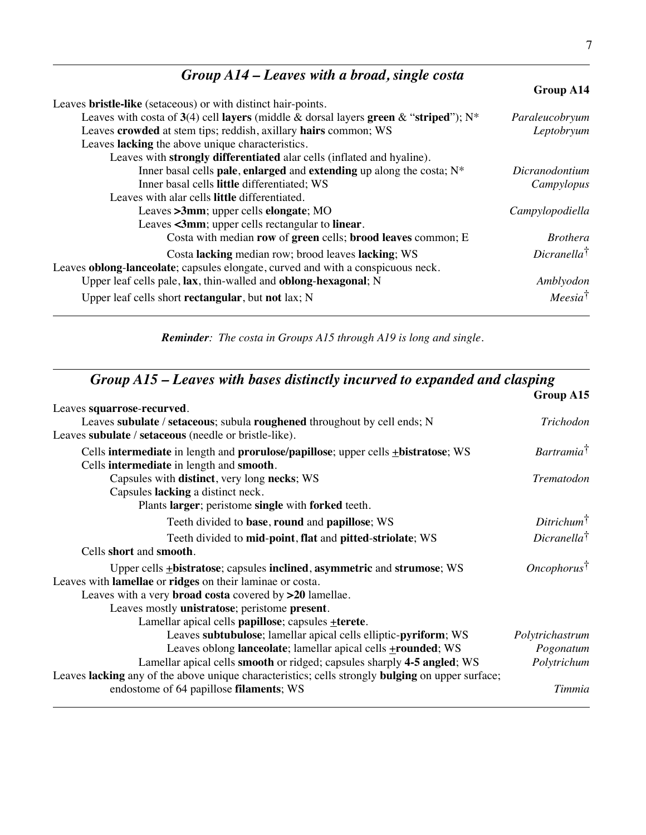### *Group A14 – Leaves with a broad, single costa*

|                                                                                         | Group A14              |
|-----------------------------------------------------------------------------------------|------------------------|
| Leaves <b>bristle-like</b> (setaceous) or with distinct hair-points.                    |                        |
| Leaves with costa of 3(4) cell layers (middle & dorsal layers green & "striped"); $N^*$ | Paraleucobryum         |
| Leaves crowded at stem tips; reddish, axillary hairs common; WS                         | Leptobryum             |
| Leaves lacking the above unique characteristics.                                        |                        |
| Leaves with strongly differentiated alar cells (inflated and hyaline).                  |                        |
| Inner basal cells pale, enlarged and extending up along the costa; $N^*$                | Dicranodontium         |
| Inner basal cells little differentiated; WS                                             | Campylopus             |
| Leaves with alar cells little differentiated.                                           |                        |
| Leaves >3mm; upper cells elongate; MO                                                   | Campylopodiella        |
| Leaves <3mm; upper cells rectangular to linear.                                         |                        |
| Costa with median row of green cells; brood leaves common; E                            | <i>Brothera</i>        |
| Costa lacking median row; brood leaves lacking; WS                                      | $Dicranella^{\dagger}$ |
| Leaves oblong-lanceolate; capsules elongate, curved and with a conspicuous neck.        |                        |
| Upper leaf cells pale, lax, thin-walled and oblong-hexagonal; N                         | Amblyodon              |
| Upper leaf cells short rectangular, but not lax; N                                      | Meesia <sup>†</sup>    |

*Reminder: The costa in Groups A15 through A19 is long and single.*

#### *Group A15 – Leaves with bases distinctly incurved to expanded and clasping*

|                                                                                                  | Group A15                     |
|--------------------------------------------------------------------------------------------------|-------------------------------|
| Leaves squarrose-recurved.                                                                       |                               |
| Leaves subulate / setaceous; subula roughened throughout by cell ends; N                         | Trichodon                     |
| Leaves subulate / setaceous (needle or bristle-like).                                            |                               |
| Cells intermediate in length and prorulose/papillose; upper cells <b>+bistratose</b> ; WS        | <i>Bartramia</i> <sup>†</sup> |
| Cells intermediate in length and smooth.                                                         |                               |
| Capsules with distinct, very long necks; WS                                                      | Trematodon                    |
| Capsules lacking a distinct neck.                                                                |                               |
| Plants larger; peristome single with forked teeth.                                               |                               |
| Teeth divided to base, round and papillose; WS                                                   | $Ditrichum^{\dagger}$         |
| Teeth divided to mid-point, flat and pitted-striolate; WS                                        | $Dicranella^{\dagger}$        |
| Cells short and smooth.                                                                          |                               |
| Upper cells <b>+bistratose</b> ; capsules inclined, asymmetric and strumose; WS                  | $Oneophorus^{\dagger}$        |
| Leaves with lamellae or ridges on their laminae or costa.                                        |                               |
| Leaves with a very broad costa covered by >20 lamellae.                                          |                               |
| Leaves mostly unistratose; peristome present.                                                    |                               |
| Lamellar apical cells papillose; capsules +terete.                                               |                               |
| Leaves subtubulose; lamellar apical cells elliptic-pyriform; WS                                  | Polytrichastrum               |
| Leaves oblong lanceolate; lamellar apical cells <b>+rounded</b> ; WS                             | Pogonatum                     |
| Lamellar apical cells smooth or ridged; capsules sharply 4-5 angled; WS                          | Polytrichum                   |
| Leaves lacking any of the above unique characteristics; cells strongly bulging on upper surface; |                               |
| endostome of 64 papillose filaments; WS                                                          | Timmia                        |
|                                                                                                  |                               |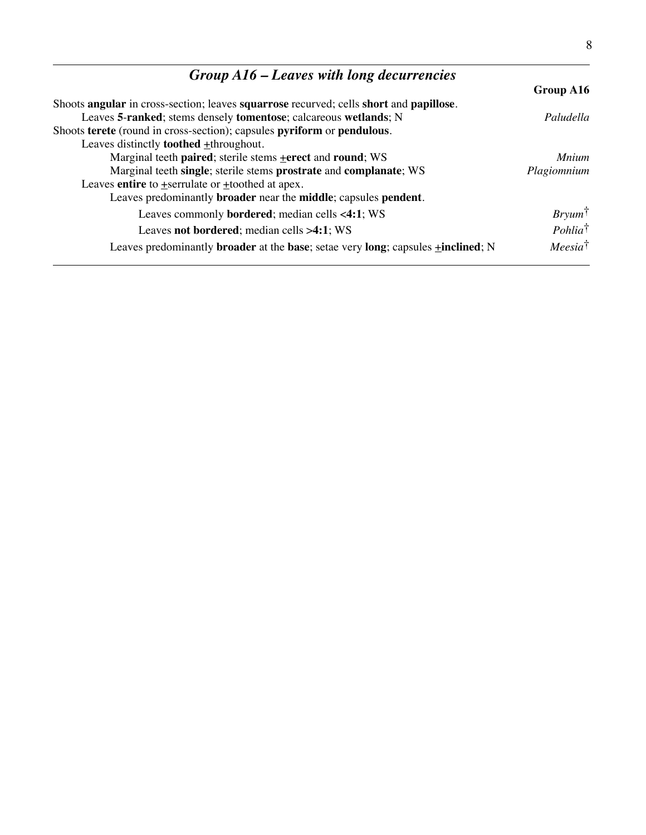| $Group A16$ – Leaves with long decurrencies                                                                  |                    |
|--------------------------------------------------------------------------------------------------------------|--------------------|
|                                                                                                              | Group A16          |
| Shoots angular in cross-section; leaves squarrose recurved; cells short and papillose.                       |                    |
| Leaves 5-ranked; stems densely tomentose; calcareous wetlands; N                                             | Paludella          |
| Shoots terete (round in cross-section); capsules pyriform or pendulous.                                      |                    |
| Leaves distinctly <b>toothed</b> $\pm$ throughout.                                                           |                    |
| Marginal teeth paired; sterile stems + erect and round; WS                                                   | <b>Mnium</b>       |
| Marginal teeth single; sterile stems prostrate and complanate; WS                                            | Plagiomnium        |
| Leaves entire to $\pm$ serrulate or $\pm$ toothed at apex.                                                   |                    |
| Leaves predominantly <b>broader</b> near the <b>middle</b> ; capsules <b>pendent</b> .                       |                    |
| Leaves commonly <b>bordered</b> ; median cells <4:1; WS                                                      | $Bryum^{\dagger}$  |
| Leaves not bordered; median cells $>4:1$ ; WS                                                                | $Pohlia^{\dagger}$ |
| Leaves predominantly <b>broader</b> at the <b>base</b> ; setae very long; capsules $\pm$ <b>inclined</b> ; N | $Meesia^{\dagger}$ |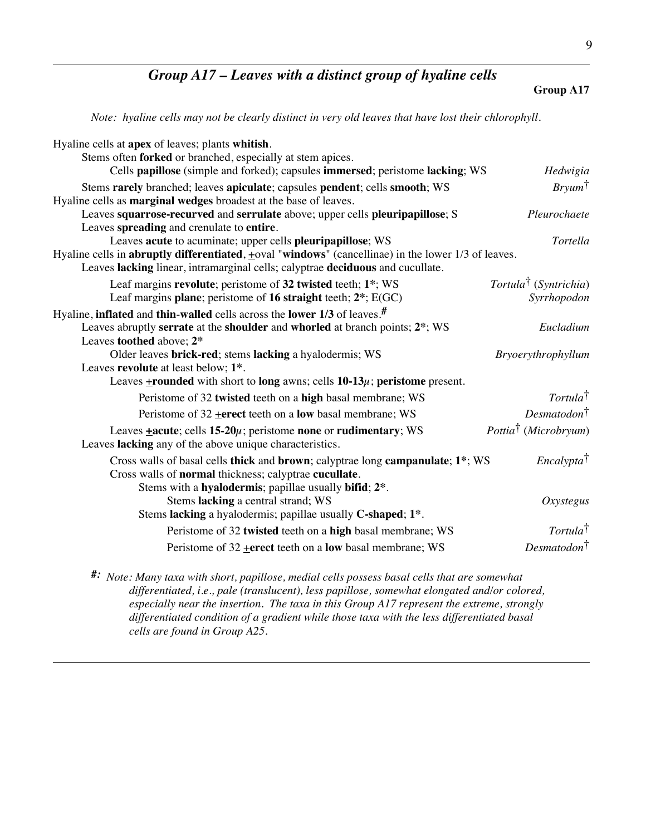#### *Group A17 – Leaves with a distinct group of hyaline cells*

**Group A17**

9

*Note: hyaline cells may not be clearly distinct in very old leaves that have lost their chlorophyll.*

| Hyaline cells at apex of leaves; plants whitish.                                                                                                                                                              |                                   |
|---------------------------------------------------------------------------------------------------------------------------------------------------------------------------------------------------------------|-----------------------------------|
| Stems often forked or branched, especially at stem apices.<br>Cells papillose (simple and forked); capsules immersed; peristome lacking; WS                                                                   | Hedwigia                          |
| Stems rarely branched; leaves apiculate; capsules pendent; cells smooth; WS                                                                                                                                   | $Bryum^{\dagger}$                 |
| Hyaline cells as marginal wedges broadest at the base of leaves.                                                                                                                                              |                                   |
| Leaves squarrose-recurved and serrulate above; upper cells pleuripapillose; S                                                                                                                                 | Pleurochaete                      |
| Leaves spreading and crenulate to entire.                                                                                                                                                                     |                                   |
| Leaves acute to acuminate; upper cells pleuripapillose; WS                                                                                                                                                    | Tortella                          |
| Hyaline cells in <b>abruptly differentiated</b> , $\pm$ oval "windows" (cancellinae) in the lower $1/3$ of leaves.                                                                                            |                                   |
| Leaves lacking linear, intramarginal cells; calyptrae deciduous and cucullate.                                                                                                                                |                                   |
| Leaf margins revolute; peristome of 32 twisted teeth; 1*; WS                                                                                                                                                  | Tortula <sup>†</sup> (Syntrichia) |
| Leaf margins plane; peristome of 16 straight teeth; 2*; E(GC)                                                                                                                                                 | Syrrhopodon                       |
| Hyaline, inflated and thin-walled cells across the lower $1/3$ of leaves. <sup>#</sup>                                                                                                                        |                                   |
| Leaves abruptly serrate at the shoulder and whorled at branch points; 2*; WS                                                                                                                                  | Eucladium                         |
| Leaves toothed above; 2*                                                                                                                                                                                      |                                   |
| Older leaves brick-red; stems lacking a hyalodermis; WS                                                                                                                                                       | Bryoerythrophyllum                |
| Leaves revolute at least below; 1 <sup>*</sup> .                                                                                                                                                              |                                   |
| Leaves <b>+rounded</b> with short to <b>long</b> awns; cells $10-13\mu$ ; peristome present.                                                                                                                  |                                   |
| Peristome of 32 twisted teeth on a high basal membrane; WS                                                                                                                                                    | Tortula <sup>†</sup>              |
| Peristome of $32$ + erect teeth on a low basal membrane; WS                                                                                                                                                   | $Desmatodon^{\dagger}$            |
| Leaves $\pm$ acute; cells 15-20 $\mu$ ; peristome none or rudimentary; WS<br>Leaves lacking any of the above unique characteristics.                                                                          | Pottia <sup>†</sup> (Microbryum)  |
| Cross walls of basal cells thick and brown; calyptrae long campanulate; 1*; WS<br>Cross walls of normal thickness; calyptrae cucullate.<br>Stems with a hyalodermis; papillae usually bifid; 2 <sup>*</sup> . | Encalypta <sup>†</sup>            |
| Stems lacking a central strand; WS                                                                                                                                                                            | Oxystegus                         |
| Stems lacking a hyalodermis; papillae usually C-shaped; 1*.                                                                                                                                                   |                                   |
| Peristome of 32 twisted teeth on a high basal membrane; WS                                                                                                                                                    | Tortula <sup>†</sup>              |
| Peristome of $32$ + erect teeth on a low basal membrane; WS                                                                                                                                                   | $Desmatodon^{\dagger}$            |
|                                                                                                                                                                                                               |                                   |

*#: Note: Many taxa with short, papillose, medial cells possess basal cells that are somewhat differentiated, i.e., pale (translucent), less papillose, somewhat elongated and/or colored, especially near the insertion. The taxa in this Group A17 represent the extreme, strongly differentiated condition of a gradient while those taxa with the less differentiated basal cells are found in Group A25.*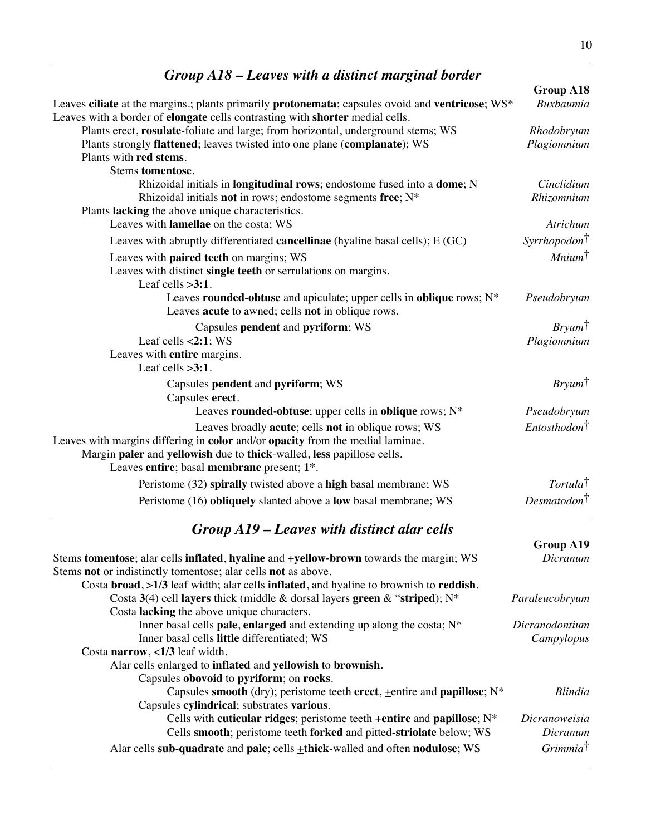## *Group A18 – Leaves with a distinct marginal border*

|                                                                                                                                                                                                                                                                                                           | Group A18                    |
|-----------------------------------------------------------------------------------------------------------------------------------------------------------------------------------------------------------------------------------------------------------------------------------------------------------|------------------------------|
| Leaves ciliate at the margins.; plants primarily protonemata; capsules ovoid and ventricose; WS*                                                                                                                                                                                                          | <b>Buxbaumia</b>             |
| Leaves with a border of elongate cells contrasting with shorter medial cells.                                                                                                                                                                                                                             |                              |
| Plants erect, rosulate-foliate and large; from horizontal, underground stems; WS                                                                                                                                                                                                                          | Rhodobryum                   |
| Plants strongly flattened; leaves twisted into one plane (complanate); WS<br>Plants with red stems.                                                                                                                                                                                                       | Plagiomnium                  |
| <b>Stems tomentose.</b>                                                                                                                                                                                                                                                                                   |                              |
| Rhizoidal initials in <b>longitudinal rows</b> ; endostome fused into a <b>dome</b> ; N                                                                                                                                                                                                                   | Cinclidium                   |
| Rhizoidal initials not in rows; endostome segments free; N*                                                                                                                                                                                                                                               | Rhizomnium                   |
| Plants lacking the above unique characteristics.                                                                                                                                                                                                                                                          |                              |
| Leaves with lamellae on the costa; WS                                                                                                                                                                                                                                                                     | Atrichum                     |
| Leaves with abruptly differentiated cancellinae (hyaline basal cells); E (GC)                                                                                                                                                                                                                             | $Syrrhopodon^{\dagger}$      |
| Leaves with paired teeth on margins; WS                                                                                                                                                                                                                                                                   | $\textit{Minimum}^{\dagger}$ |
| Leaves with distinct single teeth or serrulations on margins.                                                                                                                                                                                                                                             |                              |
| Leaf cells $>3:1$ .                                                                                                                                                                                                                                                                                       |                              |
| Leaves rounded-obtuse and apiculate; upper cells in oblique rows; N*                                                                                                                                                                                                                                      | Pseudobryum                  |
| Leaves acute to awned; cells not in oblique rows.                                                                                                                                                                                                                                                         |                              |
| Capsules pendent and pyriform; WS                                                                                                                                                                                                                                                                         | $Bryum^{\dagger}$            |
| Leaf cells $< 2:1$ ; WS                                                                                                                                                                                                                                                                                   | Plagiomnium                  |
| Leaves with entire margins.                                                                                                                                                                                                                                                                               |                              |
| Leaf cells $>3:1$ .                                                                                                                                                                                                                                                                                       |                              |
| Capsules pendent and pyriform; WS                                                                                                                                                                                                                                                                         | $Bryum^{\dagger}$            |
| Capsules erect.                                                                                                                                                                                                                                                                                           |                              |
| Leaves rounded-obtuse; upper cells in oblique rows; N*                                                                                                                                                                                                                                                    | Pseudobryum                  |
| Leaves broadly acute; cells not in oblique rows; WS                                                                                                                                                                                                                                                       | $Entosthodon^{\dagger}$      |
| Leaves with margins differing in color and/or opacity from the medial laminae.                                                                                                                                                                                                                            |                              |
| Margin paler and yellowish due to thick-walled, less papillose cells.                                                                                                                                                                                                                                     |                              |
| Leaves entire; basal membrane present; 1*.                                                                                                                                                                                                                                                                |                              |
| Peristome (32) spirally twisted above a high basal membrane; WS                                                                                                                                                                                                                                           | Tortula <sup>†</sup>         |
| Peristome (16) obliquely slanted above a low basal membrane; WS                                                                                                                                                                                                                                           | Desmatodon <sup>†</sup>      |
| Group A19 - Leaves with distinct alar cells                                                                                                                                                                                                                                                               |                              |
|                                                                                                                                                                                                                                                                                                           | Group A19                    |
| $\mathbf{1}$ , and the set of $\mathbf{0}$ , $\mathbf{1}$ , $\mathbf{1}$ , $\mathbf{1}$ , $\mathbf{1}$ , $\mathbf{1}$ , $\mathbf{1}$ , $\mathbf{1}$ , $\mathbf{1}$ , $\mathbf{1}$ , $\mathbf{1}$ , $\mathbf{1}$ , $\mathbf{1}$ , $\mathbf{1}$ , $\mathbf{1}$ , $\mathbf{1}$ , $\mathbf{1}$ , $\mathbf{1}$ | $\mathbf{D}$ :               |

| Stems tomentose; alar cells inflated, hyaline and <b>+yellow-brown</b> towards the margin; WS | Dicranum            |
|-----------------------------------------------------------------------------------------------|---------------------|
| Stems not or indistinctly tomentose; alar cells not as above.                                 |                     |
| Costa broad, >1/3 leaf width; alar cells inflated, and hyaline to brownish to reddish.        |                     |
| Costa 3(4) cell layers thick (middle & dorsal layers green & "striped); $N^*$                 | Paraleucobryum      |
| Costa <b>lacking</b> the above unique characters.                                             |                     |
| Inner basal cells <b>pale</b> , enlarged and extending up along the costa; $N^*$              | Dicranodontium      |
| Inner basal cells little differentiated; WS                                                   | Campylopus          |
| Costa narrow, $\langle 1/3 \rangle$ leaf width.                                               |                     |
| Alar cells enlarged to inflated and yellowish to brownish.                                    |                     |
| Capsules obovoid to pyriform; on rocks.                                                       |                     |
| Capsules smooth (dry); peristome teeth erect, $\pm$ entire and papillose; N <sup>*</sup>      | <b>Blindia</b>      |
| Capsules cylindrical; substrates various.                                                     |                     |
| Cells with cuticular ridges; peristome teeth $\pm$ entire and papillose; N <sup>*</sup>       | Dicranoweisia       |
| Cells smooth; peristome teeth forked and pitted-striolate below; WS                           | Dicranum            |
| Alar cells sub-quadrate and pale; cells $\pm$ thick-walled and often nodulose; WS             | $Grimmia^{\dagger}$ |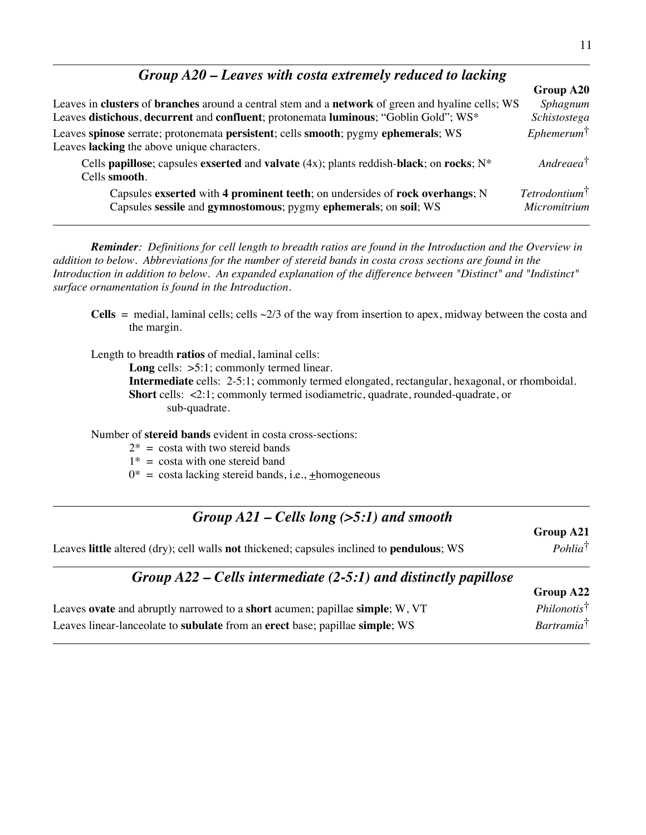#### *Group A20 – Leaves with costa extremely reduced to lacking*

|                                                                                                                                                  | Group A20                               |
|--------------------------------------------------------------------------------------------------------------------------------------------------|-----------------------------------------|
| Leaves in clusters of branches around a central stem and a network of green and hyaline cells; WS                                                | Sphagnum                                |
| Leaves distichous, decurrent and confluent; protonemata luminous; "Goblin Gold"; WS*                                                             | Schistostega                            |
| Leaves spinose serrate; protonemata persistent; cells smooth; pygmy ephemerals; WS<br>Leaves lacking the above unique characters.                | $E$ phemerum $\dagger$                  |
| Cells papillose; capsules exserted and valvate $(4x)$ ; plants reddish-black; on rocks; $N^*$<br>Cells smooth.                                   | $Andreaea^{\dagger}$                    |
| Capsules exserted with 4 prominent teeth; on undersides of rock overhangs; N<br>Capsules sessile and gymnostomous; pygmy ephemerals; on soil; WS | $Tetrodotium^{\dagger}$<br>Micromitrium |

*Reminder: Definitions for cell length to breadth ratios are found in the Introduction and the Overview in addition to below. Abbreviations for the number of stereid bands in costa cross sections are found in the Introduction in addition to below. An expanded explanation of the difference between "Distinct" and "Indistinct" surface ornamentation is found in the Introduction.*

**Cells** = medial, laminal cells; cells  $\sim$ 2/3 of the way from insertion to apex, midway between the costa and the margin.

Length to breadth **ratios** of medial, laminal cells:

Long cells:  $>5:1$ ; commonly termed linear.

**Intermediate** cells: 2-5:1; commonly termed elongated, rectangular, hexagonal, or rhomboidal. **Short** cells: <2:1; commonly termed isodiametric, quadrate, rounded-quadrate, or sub-quadrate.

Number of **stereid bands** evident in costa cross-sections:

- $2^*$  = costa with two stereid bands
- $1* = \text{costa}$  with one stereid band
- $0^*$  = costa lacking stereid bands, i.e.,  $\pm$ homogeneous

#### *Group A21 – Cells long (>5:1) and smooth*

Leaves **little** altered (dry); cell walls **not** thickened; capsules inclined to **pendulous**; WS *Pohlia*†

**Group A21**

**Group A22**

#### *Group A22 – Cells intermediate (2-5:1) and distinctly papillose*

| Leaves ovate and abruptly narrowed to a short acumen; papillae simple; W, VT | $Philonotis^{\dagger}$ |
|------------------------------------------------------------------------------|------------------------|
| Leaves linear-lanceolate to subulate from an erect base; papillae simple; WS | Bartramia <sup>†</sup> |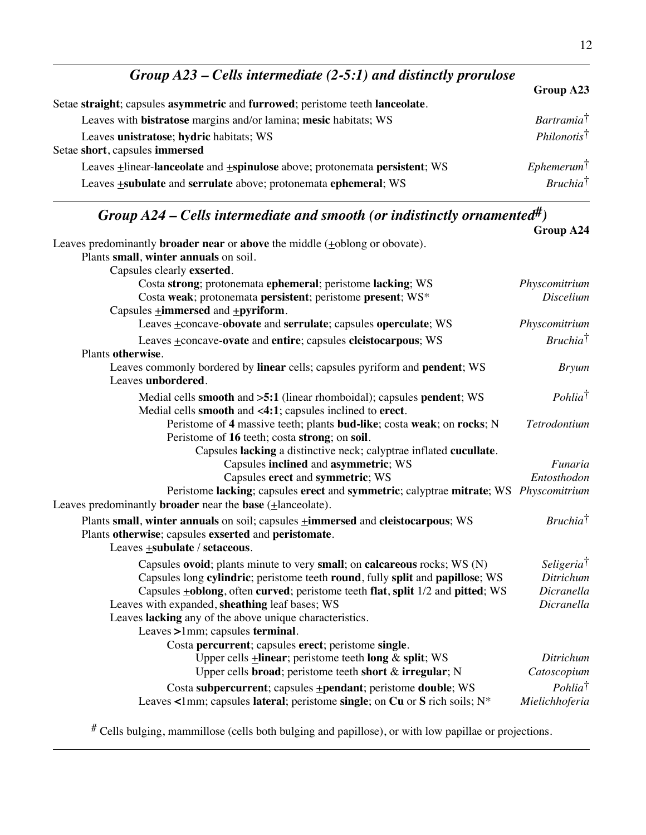| Group $A23$ – Cells intermediate (2-5:1) and distinctly prorulose             |                        |
|-------------------------------------------------------------------------------|------------------------|
|                                                                               | Group A23              |
| Setae straight; capsules asymmetric and furrowed; peristome teeth lanceolate. |                        |
| Leaves with bistratose margins and/or lamina; mesic habitats; WS              | Bartramia <sup>†</sup> |
| Leaves unistratose; hydric habitats; WS<br>Setae short, capsules immersed     | $Philonotis^{\dagger}$ |
| Leaves +linear-lanceolate and +spinulose above; protonemata persistent; WS    | $E$ phemerum $\dagger$ |
| Leaves +subulate and serrulate above; protonemata ephemeral; WS               | $Bruchia^{\dagger}$    |

# *Group A24 – Cells intermediate and smooth (or indistinctly ornamented#)*

|                                                                                                                                                                               | Group A24                             |
|-------------------------------------------------------------------------------------------------------------------------------------------------------------------------------|---------------------------------------|
| Leaves predominantly <b>broader near</b> or above the middle (+oblong or obovate).                                                                                            |                                       |
| Plants small, winter annuals on soil.                                                                                                                                         |                                       |
| Capsules clearly exserted.                                                                                                                                                    |                                       |
| Costa strong; protonemata ephemeral; peristome lacking; WS<br>Costa weak; protonemata persistent; peristome present; WS*                                                      | Physcomitrium<br>Discelium            |
| Capsules $\pm$ <b>immersed</b> and $\pm$ <b>pyriform</b> .                                                                                                                    |                                       |
| Leaves +concave-obovate and serrulate; capsules operculate; WS                                                                                                                | Physcomitrium                         |
| Leaves +concave-ovate and entire; capsules cleistocarpous; WS                                                                                                                 | <i>Bruchia</i> <sup>†</sup>           |
| Plants otherwise.                                                                                                                                                             |                                       |
| Leaves commonly bordered by linear cells; capsules pyriform and pendent; WS<br>Leaves unbordered.                                                                             | <b>Bryum</b>                          |
| Medial cells smooth and >5:1 (linear rhomboidal); capsules pendent; WS<br>Medial cells smooth and <4:1; capsules inclined to erect.                                           | Pohlia <sup>†</sup>                   |
| Peristome of 4 massive teeth; plants bud-like; costa weak; on rocks; N<br>Peristome of 16 teeth; costa strong; on soil.                                                       | Tetrodontium                          |
| Capsules lacking a distinctive neck; calyptrae inflated cucullate.                                                                                                            |                                       |
| Capsules inclined and asymmetric; WS                                                                                                                                          | Funaria                               |
| Capsules erect and symmetric; WS                                                                                                                                              | Entosthodon                           |
| Peristome lacking; capsules erect and symmetric; calyptrae mitrate; WS Physcomitrium<br>Leaves predominantly <b>broader</b> near the <b>base</b> (+lanceolate).               |                                       |
| Plants small, winter annuals on soil; capsules $\pm$ immersed and cleistocarpous; WS<br>Plants otherwise; capsules exserted and peristomate.<br>Leaves +subulate / setaceous. | <i>Bruchia</i> <sup>†</sup>           |
| Capsules ovoid; plants minute to very small; on calcareous rocks; WS (N)                                                                                                      | Seligeria <sup>†</sup>                |
| Capsules long cylindric; peristome teeth round, fully split and papillose; WS                                                                                                 | Ditrichum                             |
| Capsules <b>+oblong</b> , often curved; peristome teeth flat, split 1/2 and pitted; WS                                                                                        | Dicranella                            |
| Leaves with expanded, sheathing leaf bases; WS                                                                                                                                | Dicranella                            |
| Leaves lacking any of the above unique characteristics.                                                                                                                       |                                       |
| Leaves >1mm; capsules terminal.                                                                                                                                               |                                       |
| Costa percurrent; capsules erect; peristome single.                                                                                                                           |                                       |
| Upper cells $\pm$ linear; peristome teeth long & split; WS                                                                                                                    | Ditrichum                             |
| Upper cells broad; peristome teeth short & irregular; N                                                                                                                       | Catoscopium                           |
| Costa subpercurrent; capsules +pendant; peristome double; WS<br>Leaves <1mm; capsules lateral; peristome single; on Cu or S rich soils; $N^*$                                 | Pohlia <sup>†</sup><br>Mielichhoferia |
|                                                                                                                                                                               |                                       |

# Cells bulging, mammillose (cells both bulging and papillose), or with low papillae or projections.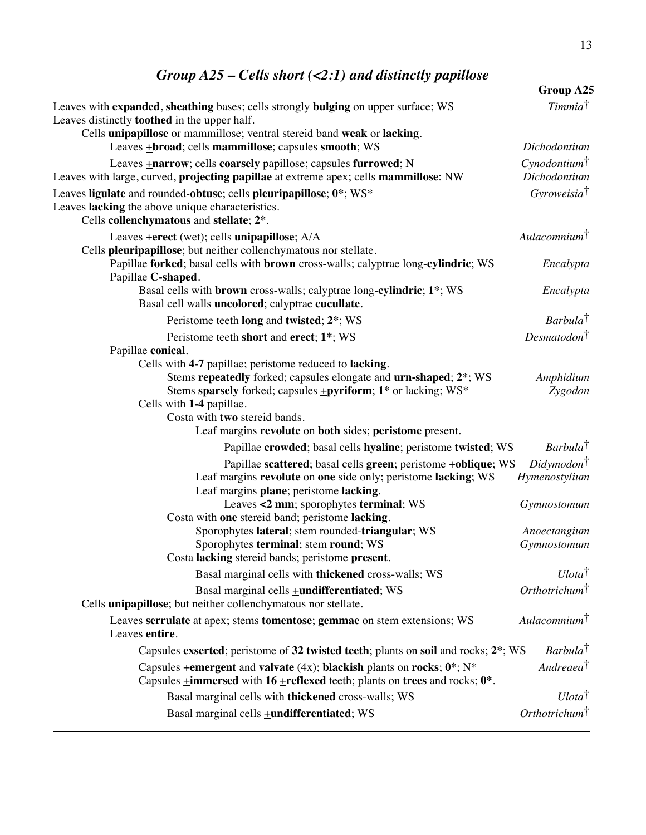### *Group A25 – Cells short (<2:1) and distinctly papillose*

|                                                                                                                                                                                                                                                                                                                                                                           | Group A25                                |
|---------------------------------------------------------------------------------------------------------------------------------------------------------------------------------------------------------------------------------------------------------------------------------------------------------------------------------------------------------------------------|------------------------------------------|
| Leaves with expanded, sheathing bases; cells strongly bulging on upper surface; WS<br>Leaves distinctly <b>toothed</b> in the upper half.                                                                                                                                                                                                                                 | T <sub>immia</sub> †                     |
| Cells unipapillose or mammillose; ventral stereid band weak or lacking.<br>Leaves +broad; cells mammillose; capsules smooth; WS                                                                                                                                                                                                                                           | Dichodontium                             |
| Leaves <b>+narrow</b> ; cells <b>coarsely</b> papillose; capsules <b>furrowed</b> ; N<br>Leaves with large, curved, projecting papillae at extreme apex; cells mammillose: NW                                                                                                                                                                                             | Cynodontium <sup>†</sup><br>Dichodontium |
| Leaves ligulate and rounded-obtuse; cells pleuripapillose; 0*; WS*<br>Leaves lacking the above unique characteristics.<br>Cells collenchymatous and stellate; 2*.                                                                                                                                                                                                         | Gyroweisia <sup>†</sup>                  |
| Leaves <b>+erect</b> (wet); cells <b>unipapillose</b> ; A/A<br>Cells pleuripapillose; but neither collenchymatous nor stellate.                                                                                                                                                                                                                                           | Aulacomnium <sup>†</sup>                 |
| Papillae forked; basal cells with brown cross-walls; calyptrae long-cylindric; WS<br>Papillae C-shaped.                                                                                                                                                                                                                                                                   | Encalypta                                |
| Basal cells with brown cross-walls; calyptrae long-cylindric; 1 <sup>*</sup> ; WS<br>Basal cell walls uncolored; calyptrae cucullate.                                                                                                                                                                                                                                     | Encalypta                                |
| Peristome teeth long and twisted; 2*; WS                                                                                                                                                                                                                                                                                                                                  | Barbula <sup>†</sup>                     |
| Peristome teeth short and erect; 1*; WS                                                                                                                                                                                                                                                                                                                                   | Desmatodon <sup>†</sup>                  |
| Papillae conical.<br>Cells with 4-7 papillae; peristome reduced to lacking.<br>Stems repeatedly forked; capsules elongate and urn-shaped; 2*; WS<br>Stems sparsely forked; capsules <b>+pyriform</b> ; 1 <sup>*</sup> or lacking; WS <sup>*</sup><br>Cells with 1-4 papillae.<br>Costa with two stereid bands.<br>Leaf margins revolute on both sides; peristome present. | Amphidium<br>Zygodon                     |
| Papillae crowded; basal cells hyaline; peristome twisted; WS                                                                                                                                                                                                                                                                                                              | Barbula <sup>†</sup>                     |
| Papillae scattered; basal cells green; peristome +oblique; WS<br>Leaf margins revolute on one side only; peristome lacking; WS<br>Leaf margins plane; peristome lacking.                                                                                                                                                                                                  | $Didymodon^{\dagger}$<br>Hymenostylium   |
| Leaves <2 mm; sporophytes terminal; WS<br>Costa with one stereid band; peristome lacking.                                                                                                                                                                                                                                                                                 | Gymnostomum                              |
| Sporophytes lateral; stem rounded-triangular; WS<br>Sporophytes terminal; stem round; WS<br>Costa <b>lacking</b> stereid bands; peristome <b>present</b> .                                                                                                                                                                                                                | Anoectangium<br>Gymnostomum              |
| Basal marginal cells with thickened cross-walls; WS                                                                                                                                                                                                                                                                                                                       | $U lota^{\dagger}$                       |
| Basal marginal cells <b>+undifferentiated</b> ; WS<br>Cells unipapillose; but neither collenchymatous nor stellate.                                                                                                                                                                                                                                                       | Orthotrichum <sup>†</sup>                |
| Leaves serrulate at apex; stems tomentose; gemmae on stem extensions; WS<br>Leaves entire.                                                                                                                                                                                                                                                                                | Aulacomnium $\dagger$                    |
| Capsules exserted; peristome of 32 twisted teeth; plants on soil and rocks; 2 <sup>*</sup> ; WS                                                                                                                                                                                                                                                                           | <i>Barbula</i> <sup>†</sup>              |
| Capsules $\pm$ emergent and valvate (4x); blackish plants on rocks; 0*; N*<br>Capsules $\pm$ <b>immersed</b> with 16 $\pm$ <b>reflexed</b> teeth; plants on <b>trees</b> and rocks; $0$ <sup>*</sup> .                                                                                                                                                                    | Andreaea <sup>†</sup>                    |
| Basal marginal cells with thickened cross-walls; WS                                                                                                                                                                                                                                                                                                                       | $U lota^{\dagger}$                       |
| Basal marginal cells <b>+undifferentiated</b> ; WS                                                                                                                                                                                                                                                                                                                        | Orthotrichum <sup>†</sup>                |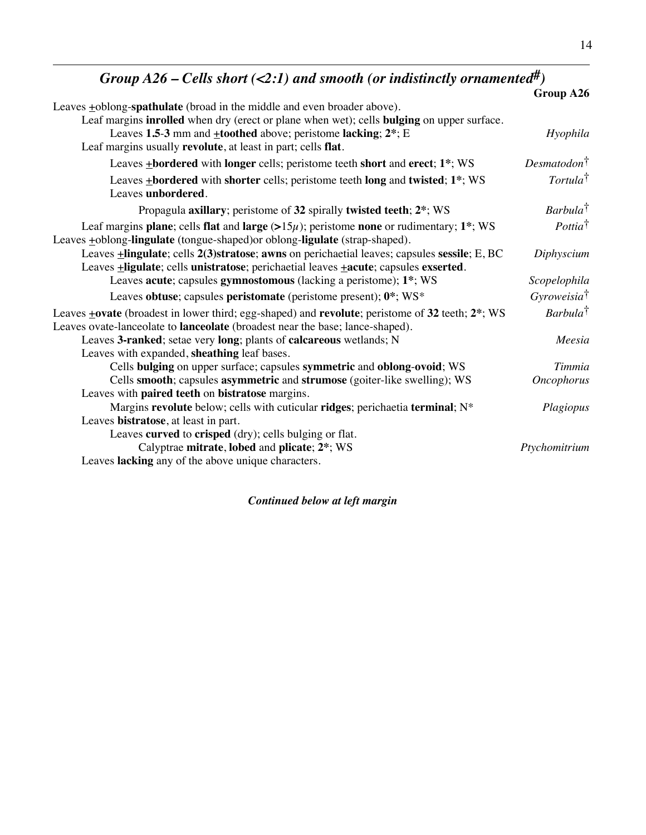| Group A26 – Cells short (<2:1) and smooth (or indistinctly ornamented <sup>#</sup> )                                                                                                                       |                          |
|------------------------------------------------------------------------------------------------------------------------------------------------------------------------------------------------------------|--------------------------|
|                                                                                                                                                                                                            | Group A26                |
| Leaves +oblong-spathulate (broad in the middle and even broader above).                                                                                                                                    |                          |
| Leaf margins inrolled when dry (erect or plane when wet); cells bulging on upper surface.                                                                                                                  |                          |
| Leaves 1.5-3 mm and $\pm$ toothed above; peristome lacking; $2^*$ ; E                                                                                                                                      | Hyophila                 |
| Leaf margins usually revolute, at least in part; cells flat.                                                                                                                                               |                          |
| Leaves +bordered with longer cells; peristome teeth short and erect; 1*; WS                                                                                                                                | Desmatodon <sup>†</sup>  |
| Leaves <b>+bordered</b> with shorter cells; peristome teeth long and twisted; 1 <sup>*</sup> ; WS                                                                                                          | $Tortula^{\dagger}$      |
| Leaves unbordered.                                                                                                                                                                                         |                          |
| Propagula axillary; peristome of 32 spirally twisted teeth; 2 <sup>*</sup> ; WS                                                                                                                            | $Barbula^{\dagger}$      |
| Leaf margins plane; cells flat and large $(>15\mu)$ ; peristome none or rudimentary; 1 <sup>*</sup> ; WS<br>Leaves +oblong-lingulate (tongue-shaped) or oblong-ligulate (strap-shaped).                    | $Potita^{\dagger}$       |
| Leaves <b>+lingulate</b> ; cells 2(3)stratose; awns on perichaetial leaves; capsules sessile; E, BC<br>Leaves <b>+ligulate</b> ; cells unistratose; perichaetial leaves <b>+acute</b> ; capsules exserted. | Diphyscium               |
| Leaves acute; capsules gymnostomous (lacking a peristome); 1 <sup>*</sup> ; WS                                                                                                                             | Scopelophila             |
| Leaves obtuse; capsules peristomate (peristome present); 0*; WS*                                                                                                                                           | Gyrowe isia <sup>†</sup> |
| Leaves $\pm$ ovate (broadest in lower third; egg-shaped) and revolute; peristome of 32 teeth; $2^*$ ; WS<br>Leaves ovate-lanceolate to <b>lanceolate</b> (broadest near the base; lance-shaped).           | $Barbula^{\dagger}$      |
| Leaves 3-ranked; setae very long; plants of calcareous wetlands; N                                                                                                                                         | Meesia                   |
| Leaves with expanded, sheathing leaf bases.                                                                                                                                                                |                          |
| Cells bulging on upper surface; capsules symmetric and oblong-ovoid; WS                                                                                                                                    | Timmia                   |
| Cells smooth; capsules asymmetric and strumose (goiter-like swelling); WS                                                                                                                                  | <b>Oncophorus</b>        |
| Leaves with paired teeth on bistratose margins.                                                                                                                                                            |                          |
| Margins revolute below; cells with cuticular ridges; perichaetia terminal; N*                                                                                                                              | Plagiopus                |
| Leaves bistratose, at least in part.                                                                                                                                                                       |                          |
| Leaves curved to crisped (dry); cells bulging or flat.                                                                                                                                                     |                          |
| Calyptrae mitrate, lobed and plicate; 2*; WS                                                                                                                                                               | Ptychomitrium            |
| Leaves lacking any of the above unique characters.                                                                                                                                                         |                          |

*Continued below at left margin*